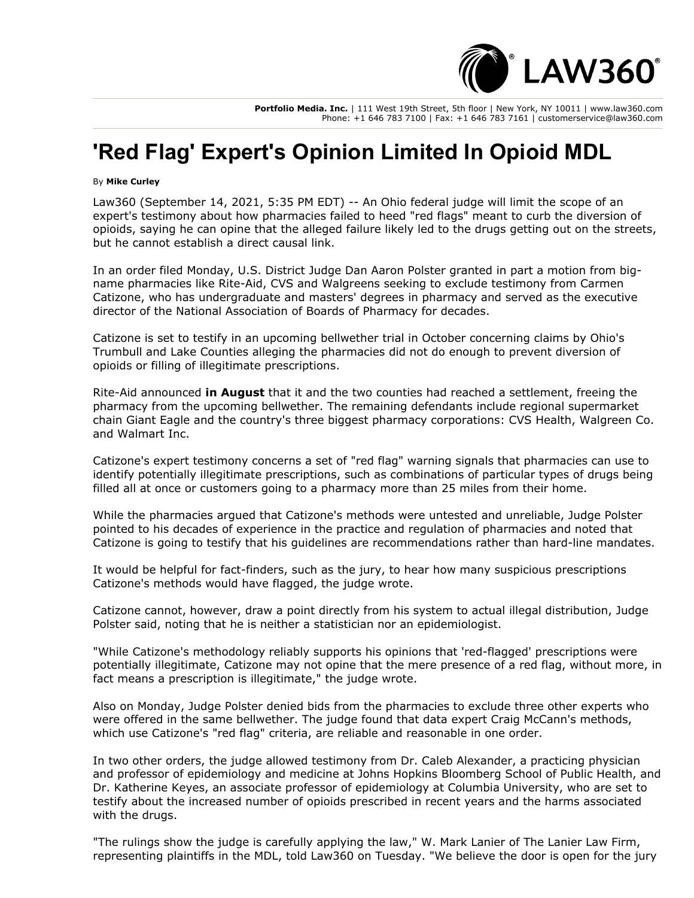

**Portfolio Media. Inc.** | 111 West 19th Street, 5th floor | New York, NY 10011 | www.law360.com Phone: +1 646 783 7100 | Fax: +1 646 783 7161 | customerservice@law360.com

## **'Red Flag' Expert's Opinion Limited In Opioid MDL**

## By **Mike Curley**

Law360 (September 14, 2021, 5:35 PM EDT) -- An Ohio federal judge will limit the scope of an expert's testimony about how pharmacies failed to heed "red flags" meant to curb the diversion of opioids, saying he can opine that the alleged failure likely led to the drugs getting out on the streets, but he cannot establish a direct causal link.

In an order filed Monday, U.S. District Judge Dan Aaron Polster granted in part a motion from bigname pharmacies like Rite-Aid, CVS and [Walgreens](https://www.law360.com/companies/walgreens-co) seeking to exclude testimony from Carmen Catizone, who has undergraduate and masters' degrees in pharmacy and served as the executive director of the National Association of Boards of Pharmacy for decades.

Catizone is set to testify in an upcoming bellwether trial in October concerning claims by Ohio's Trumbull and Lake Counties alleging the pharmacies did not do enough to prevent diversion of opioids or filling of illegitimate prescriptions.

Rite-Aid announced **[in August](https://www.law360.com/articles/1416650)** that it and the two counties had reached a settlement, freeing the pharmacy from the upcoming bellwether. The remaining defendants include regional supermarket chain [Giant Eagle](https://www.law360.com/companies/giant-eagle-inc) and the country's three biggest pharmacy corporations: [CVS Health,](https://www.law360.com/companies/cvs-health-corp) Walgreen Co. and [Walmart Inc.](https://www.law360.com/companies/walmart-inc)

Catizone's expert testimony concerns a set of "red flag" warning signals that pharmacies can use to identify potentially illegitimate prescriptions, such as combinations of particular types of drugs being filled all at once or customers going to a pharmacy more than 25 miles from their home.

While the pharmacies argued that Catizone's methods were untested and unreliable, Judge Polster pointed to his decades of experience in the practice and regulation of pharmacies and noted that Catizone is going to testify that his guidelines are recommendations rather than hard-line mandates.

It would be helpful for fact-finders, such as the jury, to hear how many suspicious prescriptions Catizone's methods would have flagged, the judge wrote.

Catizone cannot, however, draw a point directly from his system to actual illegal distribution, Judge Polster said, noting that he is neither a statistician nor an epidemiologist.

"While Catizone's methodology reliably supports his opinions that 'red-flagged' prescriptions were potentially illegitimate, Catizone may not opine that the mere presence of a red flag, without more, in fact means a prescription is illegitimate," the judge wrote.

Also on Monday, Judge Polster denied bids from the pharmacies to exclude three other experts who were offered in the same bellwether. The judge found that data expert Craig McCann's methods, which use Catizone's "red flag" criteria, are reliable and reasonable in one order.

In two other orders, the judge allowed testimony from Dr. Caleb Alexander, a practicing physician and professor of epidemiology and medicine at Johns Hopkins Bloomberg School of Public Health, and Dr. Katherine Keyes, an associate professor of epidemiology at Columbia University, who are set to testify about the increased number of opioids prescribed in recent years and the harms associated with the drugs.

"The rulings show the judge is carefully applying the law," W. Mark Lanier of [The Lanier Law Firm,](https://www.law360.com/firms/lanier-law-firm) representing plaintiffs in the MDL, told Law360 on Tuesday. "We believe the door is open for the jury